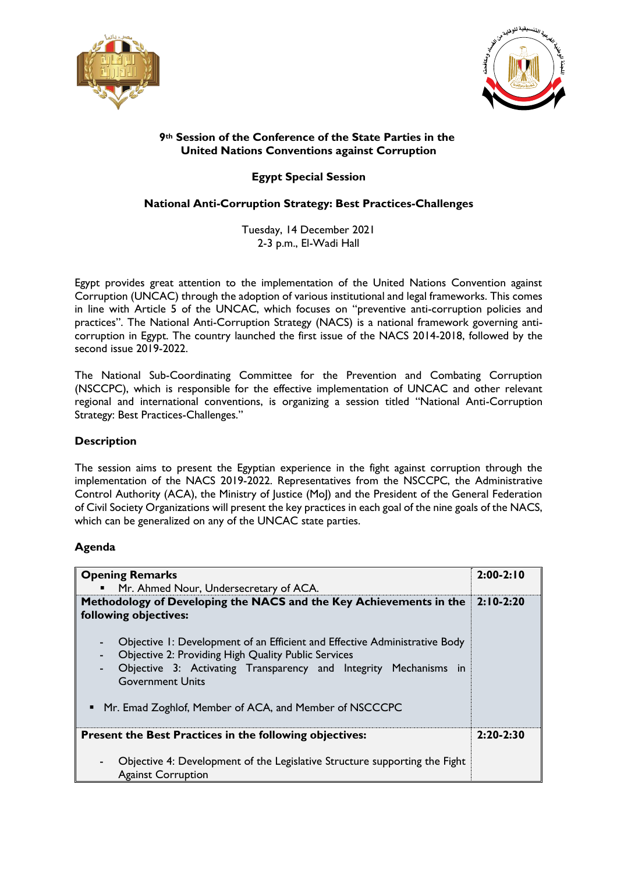



## **Session of the Conference of the State Parties in the 9th United Nations Conventions against Corruption**

**Egypt Special Session**

## **National Anti-Corruption Strategy: Best Practices-Challenges**

Tuesday, 14 December 2021 2-3 p.m., El-Wadi Hall

Egypt provides great attention to the implementation of the United Nations Convention against Corruption (UNCAC) through the adoption of various institutional and legal frameworks. This comes in line with Article 5 of the UNCAC, which focuses on "preventive anti-corruption policies and practices". The National Anti-Corruption Strategy (NACS) is a national framework governing anticorruption in Egypt. The country launched the first issue of the NACS 2014-2018, followed by the second issue 2019-2022.

The National Sub-Coordinating Committee for the Prevention and Combating Corruption (NSCCPC), which is responsible for the effective implementation of UNCAC and other relevant regional and international conventions, is organizing a session titled "National Anti-Corruption Strategy: Best Practices-Challenges."

## **Description**

The session aims to present the Egyptian experience in the fight against corruption through the implementation of the NACS 2019-2022. Representatives from the NSCCPC, the Administrative Control Authority (ACA), the Ministry of Justice (MoJ) and the President of the General Federation of Civil Society Organizations will present the key practices in each goal of the nine goals of the NACS, which can be generalized on any of the UNCAC state parties.

## **Agenda**

| <b>Opening Remarks</b>                                                                                                                                                                                                                       | $2:00-2:10$ |
|----------------------------------------------------------------------------------------------------------------------------------------------------------------------------------------------------------------------------------------------|-------------|
| Mr. Ahmed Nour, Undersecretary of ACA.<br>$\blacksquare$                                                                                                                                                                                     |             |
| Methodology of Developing the NACS and the Key Achievements in the<br>following objectives:                                                                                                                                                  | $2:10-2:20$ |
| Objective 1: Development of an Efficient and Effective Administrative Body<br><b>Objective 2: Providing High Quality Public Services</b><br>Objective 3: Activating Transparency and Integrity Mechanisms in<br>۰<br><b>Government Units</b> |             |
| Mr. Emad Zoghlof, Member of ACA, and Member of NSCCCPC                                                                                                                                                                                       |             |
| <b>Present the Best Practices in the following objectives:</b>                                                                                                                                                                               | $2:20-2:30$ |
| Objective 4: Development of the Legislative Structure supporting the Fight<br><b>Against Corruption</b>                                                                                                                                      |             |